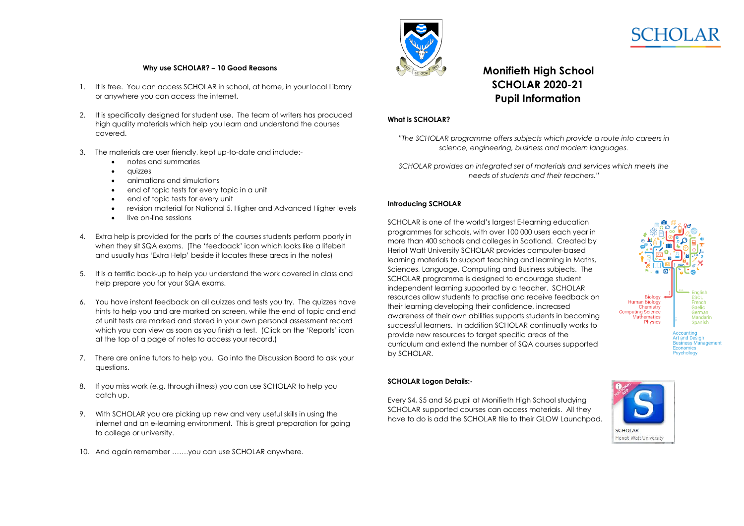

# **Monifieth High School SCHOLAR 2020-21 Pupil Information**

# **What is SCHOLAR?**

*"The SCHOLAR programme offers subjects which provide a route into careers in science, engineering, business and modern languages.*

*SCHOLAR provides an integrated set of materials and services which meets the needs of students and their teachers."*

## **Introducing SCHOLAR**

SCHOLAR is one of the world's largest E-learning education programmes for schools, with over 100 000 users each year in more than 400 schools and colleges in Scotland. Created by Heriot Watt University SCHOLAR provides computer-based learning materials to support teaching and learning in Maths, Sciences, Language, Computing and Business subjects. The SCHOLAR programme is designed to encourage student independent learning supported by a teacher. SCHOLAR resources allow students to practise and receive feedback on their learning developing their confidence, increased awareness of their own abilities supports students in becoming successful learners. In addition SCHOLAR continually works to provide new resources to target specific areas of the curriculum and extend the number of SQA courses supported by SCHOLAR.



Every S4, S5 and S6 pupil at Monifieth High School studying SCHOLAR supported courses can access materials. All they have to do is add the SCHOLAR tile to their GLOW Launchpad.



## **Why use SCHOLAR? – 10 Good Reasons**

- 1. It is free. You can access SCHOLAR in school, at home, in your local Library or anywhere you can access the internet.
- 2. It is specifically designed for student use. The team of writers has produced high quality materials which help you learn and understand the courses covered.
- 3. The materials are user friendly, kept up-to-date and include:
	- notes and summaries
	- *quizzes*
	- animations and simulations
	- end of topic tests for every topic in a unit
	- end of topic tests for every unit
	- revision material for National 5, Higher and Advanced Higher levels
	- **.** live on-line sessions
- 4. Extra help is provided for the parts of the courses students perform poorly in when they sit SQA exams. (The 'feedback' icon which looks like a lifebelt and usually has 'Extra Help' beside it locates these areas in the notes)
- 5. It is a terrific back-up to help you understand the work covered in class and help prepare you for your SQA exams.
- 6. You have instant feedback on all quizzes and tests you try. The quizzes have hints to help you and are marked on screen, while the end of topic and end of unit tests are marked and stored in your own personal assessment record which you can view as soon as you finish a test. (Click on the 'Reports' icon at the top of a page of notes to access your record.)
- 7. There are online tutors to help you. Go into the Discussion Board to ask your questions.
- 8. If you miss work (e.g. through illness) you can use SCHOLAR to help you catch up.
- 9. With SCHOLAR you are picking up new and very useful skills in using the internet and an e-learning environment. This is great preparation for going to college or university.
- 10. And again remember .......you can use SCHOLAR anywhere.